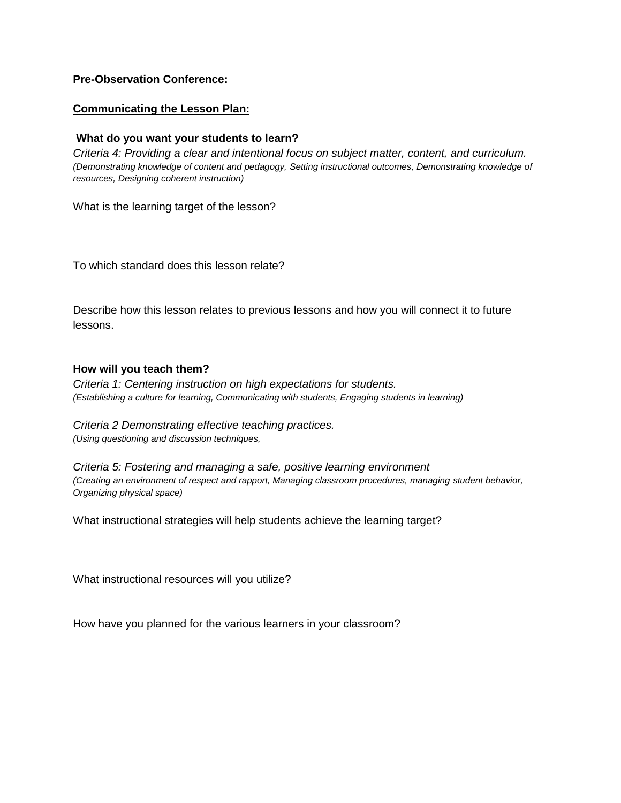## **Pre-Observation Conference:**

### **Communicating the Lesson Plan:**

### **What do you want your students to learn?**

*Criteria 4: Providing a clear and intentional focus on subject matter, content, and curriculum. (Demonstrating knowledge of content and pedagogy, Setting instructional outcomes, Demonstrating knowledge of resources, Designing coherent instruction)*

What is the learning target of the lesson?

To which standard does this lesson relate?

Describe how this lesson relates to previous lessons and how you will connect it to future lessons.

#### **How will you teach them?**

*Criteria 1: Centering instruction on high expectations for students. (Establishing a culture for learning, Communicating with students, Engaging students in learning)*

*Criteria 2 Demonstrating effective teaching practices. (Using questioning and discussion techniques,*

*Criteria 5: Fostering and managing a safe, positive learning environment (Creating an environment of respect and rapport, Managing classroom procedures, managing student behavior, Organizing physical space)*

What instructional strategies will help students achieve the learning target?

What instructional resources will you utilize?

How have you planned for the various learners in your classroom?